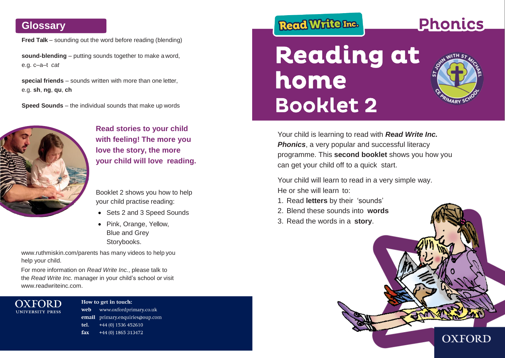## **Glossary**

**Fred Talk** – sounding out the word before reading (blending)

**sound-blending** – putting sounds together to make a word, e.g. c–a–t *cat*

**special friends** – sounds written with more than one letter, e.g. **sh**, **ng**, **qu**, **ch**

**Speed Sounds** – the individual sounds that make up words



**Read stories to your child with feeling! The more you love the story, the more your child will love reading.**

Booklet 2 shows you how to help your child practise reading:

- Sets 2 and 3 Speed Sounds
- Pink, Orange, Yellow, Blue and Grey Storybooks.

[www.ruthmiskin.com/parents](http://www.ruthmiskin.com/parents) has many videos to help you help your child.

For more information on *Read Write Inc.*, please talk to the *Read Write Inc.* manager in your child's school or visit [www.readwriteinc.com.](http://www.readwriteinc.com/)



How to get in touch: www.oxfordprimary.co.uk web email primary.enquiries@oup.com tel. +44 (0) 1536 452610 fax +44 (0) 1865 313472

## Read Write Inc.

# **Reading at** home **Booklet 2**

**Phonics** 

Your child is learning to read with *Read Write Inc.*  **Phonics**, a very popular and successful literacy programme. This **second booklet** shows you how you can get your child off to a quick start.

Your child will learn to read in a very simple way. He or she will learn to:

- 1. Read **letters** by their 'sounds'
- 2. Blend these sounds into **words**
- 3. Read the words in a **story**.

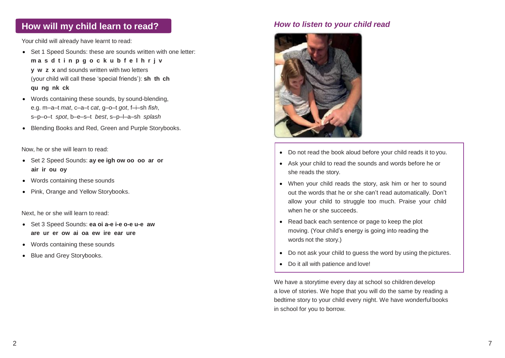### **How will my child learn to read?** *How to listen to your child read*

Your child will already have learnt to read:

- Set 1 Speed Sounds: these are sounds written with one letter: **m a s d t i n p g o c k u b f e l h r j v y w z x** and sounds written with two letters • (your child will call these 'special friends'): **sh th ch qu ng nk ck**
- Words containing these sounds, by sound-blending, e.g. m–a–t *mat*, c–a–t *cat*, g–o–t *got*, f–i–sh *fish*, s–p–o–t *spot*, b–e–s–t *best*, s–p–l–a–sh *splash*
- Blending Books and Red, Green and Purple Storybooks.

Now, he or she will learn to read:

- Set 2 Speed Sounds: **ay ee igh ow oo oo ar or air ir ou oy**
- Words containing these sounds
- Pink, Orange and Yellow Storybooks.

Next, he or she will learn to read:

- Set 3 Speed Sounds: **ea oi a-e i-e o-e u-e aw are ur er ow ai oa ew ire ear ure**
- Words containing these sounds
- Blue and Grey Storybooks.



- Do not read the book aloud before your child reads it to you.
- Ask your child to read the sounds and words before he or she reads the story.
- When your child reads the story, ask him or her to sound out the words that he or she can't read automatically. Don't allow your child to struggle too much. Praise your child when he or she succeeds.
- Read back each sentence or page to keep the plot moving. (Your child's energy is going into reading the words not the story.)
- Do not ask your child to quess the word by using the pictures.
- Do it all with patience and love!

We have a storytime every day at school so children develop a love of stories. We hope that you will do the same by reading a bedtime story to your child every night. We have wonderfulbooks in school for you to borrow.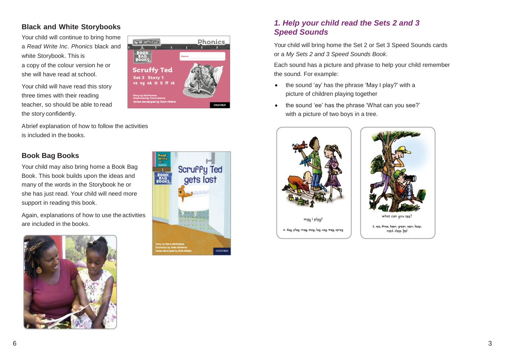#### **Black and White Storybooks**

Your child will continue to bring home a *Read Write Inc*. *Phonics* black and white Storybook. This is a copy of the colour version he or she will have read at school.

Your child will have read this story three times with their reading teacher, so should be able to read the story confidently.



#### **Book Bag Books**

Your child may also bring home a Book Bag Book. This book builds upon the ideas and many of the words in the Storybook he or she has just read. Your child will need more support in reading this book.

Again, explanations of how to use the activities are included in the books.





Phonics

**OXFORE** 

RecolWriterra

**Scruffy Ted** Set 3 Story 1 ve ng nk tt ll ff ck

#### *1. Help your child read the Sets 2 and 3 Speed Sounds*

Your child will bring home the Set 2 or Set 3 Speed Sounds cards or a *My Sets 2 and 3 Speed Sounds Book*.

Each sound has a picture and phrase to help your child remember the sound. For example:

- the sound 'ay' has the phrase 'May I play?' with a picture of children playing together
- the sound 'ee' has the phrase 'What can you see?' with a picture of two boys in a tree.